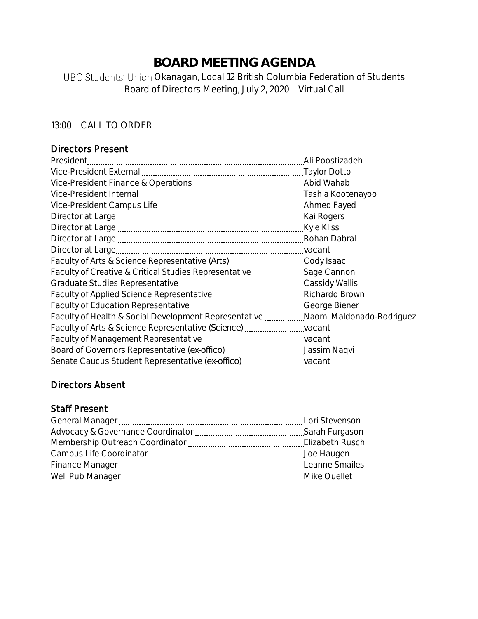# **BOARD MEETING AGENDA**

UBC Students' Union Okanagan, Local 12 British Columbia Federation of Students Board of Directors Meeting, July 2, 2020 - Virtual Call

13:00 - CALL TO ORDER

### Directors Present

| Faculty of Creative & Critical Studies Representative Sage Cannon               |  |
|---------------------------------------------------------------------------------|--|
|                                                                                 |  |
|                                                                                 |  |
|                                                                                 |  |
| Faculty of Health & Social Development Representative Naomi Maldonado-Rodriguez |  |
|                                                                                 |  |
|                                                                                 |  |
|                                                                                 |  |
| Senate Caucus Student Representative (ex-offico) vacant                         |  |

## Directors Absent

#### Staff Present

| Lori Stevenson |
|----------------|
| Sarah Furgason |
|                |
| Joe Haugen     |
| Leanne Smailes |
| Mike Ouellet   |
|                |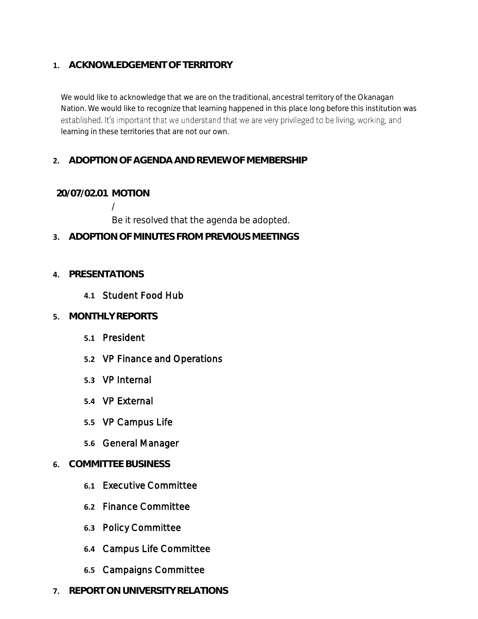#### **1. ACKNOWLEDGEMENT OF TERRITORY**

We would like to acknowledge that we are on the traditional, ancestral territory of the Okanagan Nation. We would like to recognize that learning happened in this place long before this institution was established. It's important that we understand that we are very privileged to be living, working, and learning in these territories that are not our own.

#### **2. ADOPTION OF AGENDA AND REVIEW OF MEMBERSHIP**

#### **20/07/02.01 MOTION**

/

Be it resolved that the agenda be adopted.

**3. ADOPTION OF MINUTES FROM PREVIOUS MEETINGS**

#### **4. PRESENTATIONS**

#### **4.1** Student Food Hub

- **5. MONTHLY REPORTS**
	- **5.1** President
	- **5.2** VP Finance and Operations
	- **5.3** VP Internal
	- **5.4** VP External
	- **5.5** VP Campus Life
	- **5.6** General Manager

#### **6. COMMITTEE BUSINESS**

- **6.1** Executive Committee
- **6.2** Finance Committee
- **6.3** Policy Committee
- **6.4** Campus Life Committee
- **6.5** Campaigns Committee
- **7. REPORT ON UNIVERSITY RELATIONS**